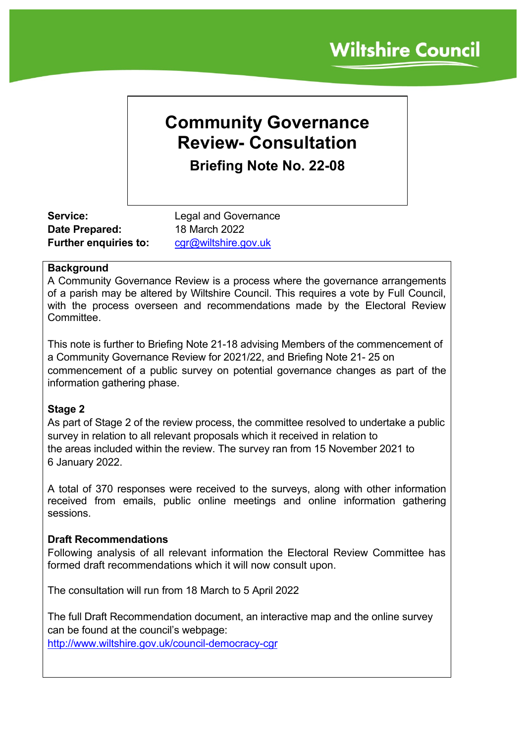# **Community Governance Review- Consultation Briefing Note No. 22-08**

**Date Prepared:** 18 March 2022 Further enquiries to: [cgr@wiltshire.gov.uk](mailto:cgr@wiltshire.gov.uk)

**Service:** Legal and Governance

## **Background**

A Community Governance Review is a process where the governance arrangements of a parish may be altered by Wiltshire Council. This requires a vote by Full Council, with the process overseen and recommendations made by the Electoral Review **Committee.** 

This note is further to Briefing Note 21-18 advising Members of the commencement of a Community Governance Review for 2021/22, and Briefing Note 21- 25 on commencement of a public survey on potential governance changes as part of the information gathering phase.

## **Stage 2**

As part of Stage 2 of the review process, the committee resolved to undertake a public survey in relation to all relevant proposals which it received in relation to the areas included within the review. The survey ran from 15 November 2021 to 6 January 2022.

A total of 370 responses were received to the surveys, along with other information received from emails, public online meetings and online information gathering sessions.

#### **Draft Recommendations**

Following analysis of all relevant information the Electoral Review Committee has formed draft recommendations which it will now consult upon.

The consultation will run from 18 March to 5 April 2022

The full Draft Recommendation document, an interactive map and the online survey can be found at the council's webpage:

<http://www.wiltshire.gov.uk/council-democracy-cgr>